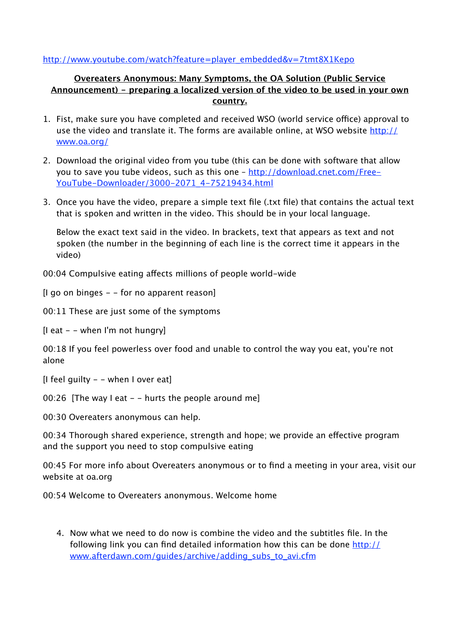## [http://www.youtube.com/watch?feature=player\\_embedded&v=7tmt8X1Kepo](http://www.youtube.com/watch?feature=player_embedded&v=7tmt8X1Kepo)

## **Overeaters Anonymous: Many Symptoms, the OA Solution (Public Service Announcement) - preparing a localized version of the video to be used in your own country.**

- 1. Fist, make sure you have completed and received WSO (world service office) approval to use the video and translate it. The forms are available online, at WSO website [http://](http://www.oa.org/) [www.oa.org/](http://www.oa.org/)
- 2. Download the original video from you tube (this can be done with software that allow you to save you tube videos, such as this one – [http://download.cnet.com/Free-](http://download.cnet.com/Free-YouTube-Downloader/3000-2071_4-75219434.html)[YouTube-Downloader/3000-2071\\_4-75219434.html](http://download.cnet.com/Free-YouTube-Downloader/3000-2071_4-75219434.html)
- 3. Once you have the video, prepare a simple text file (.txt file) that contains the actual text that is spoken and written in the video. This should be in your local language.

Below the exact text said in the video. In brackets, text that appears as text and not spoken (the number in the beginning of each line is the correct time it appears in the video)

00:04 Compulsive eating affects millions of people world-wide

[I go on binges - - for no apparent reason]

00:11 These are just some of the symptoms

 $[$ I eat  $-$  - when I'm not hungry]

00:18 If you feel powerless over food and unable to control the way you eat, you're not alone

[I feel guilty  $-$  - when I over eat]

00:26 [The way I eat  $-$  - hurts the people around me]

00:30 Overeaters anonymous can help.

00:34 Thorough shared experience, strength and hope; we provide an effective program and the support you need to stop compulsive eating

00:45 For more info about Overeaters anonymous or to find a meeting in your area, visit our website at oa.org

00:54 Welcome to Overeaters anonymous. Welcome home

4. Now what we need to do now is combine the video and the subtitles file. In the following link you can find detailed information how this can be done [http://](http://www.afterdawn.com/guides/archive/adding_subs_to_avi.cfm) [www.afterdawn.com/guides/archive/adding\\_subs\\_to\\_avi.cfm](http://www.afterdawn.com/guides/archive/adding_subs_to_avi.cfm)